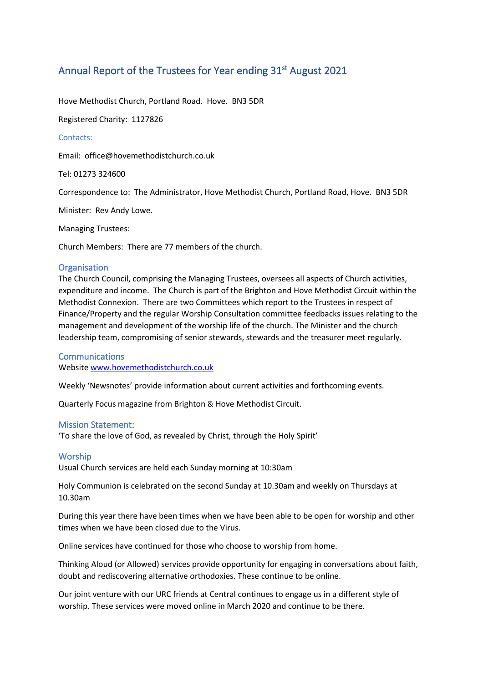# Annual Report of the Trustees for Year ending 31<sup>st</sup> August 2021

Hove Methodist Church, Portland Road. Hove. BN3 5DR

Registered Charity: 1127826

# Contacts:

Email: office@hovemethodistchurch.co.uk

Tel: 01273 324600

Correspondence to: The Administrator, Hove Methodist Church, Portland Road, Hove. BN3 5DR

Minister: Rev Andy Lowe.

Managing Trustees:

Church Members: There are 77 members of the church.

## **Organisation**

The Church Council, comprising the Managing Trustees, oversees all aspects of Church activities, expenditure and income. The Church is part of the Brighton and Hove Methodist Circuit within the Methodist Connexion. There are two Committees which report to the Trustees in respect of Finance/Property and the regular Worship Consultation committee feedbacks issues relating to the management and development of the worship life of the church. The Minister and the church leadership team, compromising of senior stewards, stewards and the treasurer meet regularly.

## **Communications**

Website [www.hovemethodistchurch.co.uk](http://www.hovemethodistchurch.co.uk/)

Weekly 'Newsnotes' provide information about current activities and forthcoming events.

Quarterly Focus magazine from Brighton & Hove Methodist Circuit.

#### Mission Statement:

'To share the love of God, as revealed by Christ, through the Holy Spirit'

## Worship

Usual Church services are held each Sunday morning at 10:30am

Holy Communion is celebrated on the second Sunday at 10.30am and weekly on Thursdays at 10.30am

During this year there have been times when we have been able to be open for worship and other times when we have been closed due to the Virus.

Online services have continued for those who choose to worship from home.

Thinking Aloud (or Allowed) services provide opportunity for engaging in conversations about faith, doubt and rediscovering alternative orthodoxies. These continue to be online.

Our joint venture with our URC friends at Central continues to engage us in a different style of worship. These services were moved online in March 2020 and continue to be there.